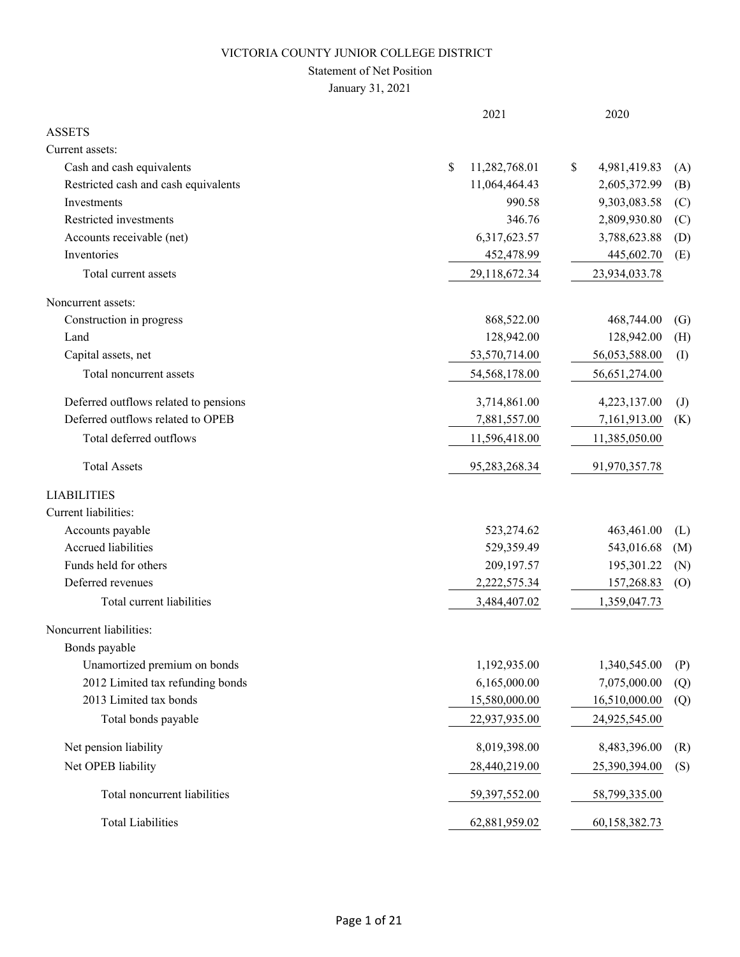### Statement of Net Position

January 31, 2021

|                                       | 2021                | 2020                                       |
|---------------------------------------|---------------------|--------------------------------------------|
| <b>ASSETS</b>                         |                     |                                            |
| Current assets:                       |                     |                                            |
| Cash and cash equivalents             | \$<br>11,282,768.01 | 4,981,419.83<br>\$<br>(A)                  |
| Restricted cash and cash equivalents  | 11,064,464.43       | 2,605,372.99<br>(B)                        |
| Investments                           | 990.58              | 9,303,083.58<br>(C)                        |
| Restricted investments                | 346.76              | 2,809,930.80<br>(C)                        |
| Accounts receivable (net)             | 6,317,623.57        | 3,788,623.88<br>(D)                        |
| Inventories                           | 452,478.99          | 445,602.70<br>(E)                          |
| Total current assets                  | 29,118,672.34       | 23,934,033.78                              |
| Noncurrent assets:                    |                     |                                            |
| Construction in progress              | 868,522.00          | 468,744.00<br>(G)                          |
| Land                                  | 128,942.00          | 128,942.00<br>(H)                          |
| Capital assets, net                   | 53,570,714.00       | 56,053,588.00<br>(I)                       |
| Total noncurrent assets               | 54,568,178.00       | 56,651,274.00                              |
| Deferred outflows related to pensions | 3,714,861.00        | 4,223,137.00<br>$\left( \mathrm{J}\right)$ |
| Deferred outflows related to OPEB     | 7,881,557.00        | 7,161,913.00<br>(K)                        |
| Total deferred outflows               | 11,596,418.00       | 11,385,050.00                              |
| <b>Total Assets</b>                   | 95,283,268.34       | 91,970,357.78                              |
| <b>LIABILITIES</b>                    |                     |                                            |
| Current liabilities:                  |                     |                                            |
| Accounts payable                      | 523,274.62          | 463,461.00<br>(L)                          |
| Accrued liabilities                   | 529,359.49          | 543,016.68<br>(M)                          |
| Funds held for others                 | 209,197.57          | 195,301.22<br>(N)                          |
| Deferred revenues                     | 2,222,575.34        | 157,268.83<br>(0)                          |
| Total current liabilities             | 3,484,407.02        | 1,359,047.73                               |
| Noncurrent liabilities:               |                     |                                            |
| Bonds payable                         |                     |                                            |
| Unamortized premium on bonds          | 1,192,935.00        | 1,340,545.00<br>(P)                        |
| 2012 Limited tax refunding bonds      | 6,165,000.00        | 7,075,000.00<br>(Q)                        |
| 2013 Limited tax bonds                | 15,580,000.00       | 16,510,000.00<br>(Q)                       |
| Total bonds payable                   | 22,937,935.00       | 24,925,545.00                              |
| Net pension liability                 | 8,019,398.00        | 8,483,396.00<br>(R)                        |
| Net OPEB liability                    | 28,440,219.00       | 25,390,394.00<br>(S)                       |
| Total noncurrent liabilities          | 59,397,552.00       | 58,799,335.00                              |
| <b>Total Liabilities</b>              | 62,881,959.02       | 60,158,382.73                              |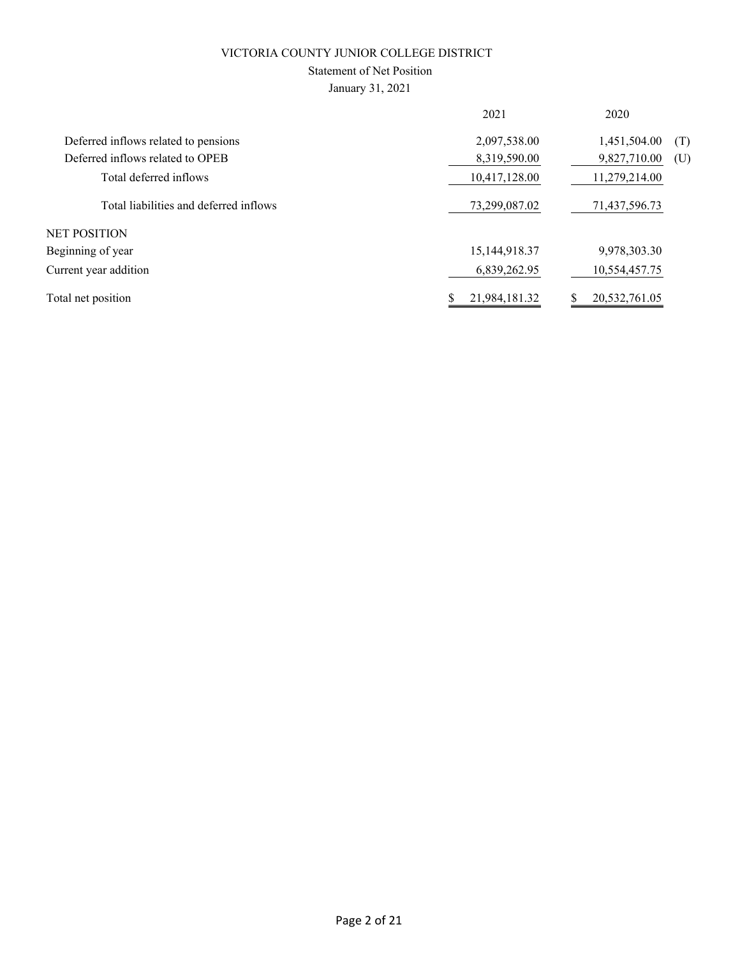### Statement of Net Position

January 31, 2021

|                                        | 2021             | 2020                |
|----------------------------------------|------------------|---------------------|
| Deferred inflows related to pensions   | 2,097,538.00     | 1,451,504.00<br>(T) |
| Deferred inflows related to OPEB       | 8,319,590.00     | 9,827,710.00<br>(U) |
| Total deferred inflows                 | 10,417,128.00    | 11,279,214.00       |
| Total liabilities and deferred inflows | 73,299,087.02    | 71,437,596.73       |
| <b>NET POSITION</b>                    |                  |                     |
| Beginning of year                      | 15, 144, 918. 37 | 9,978,303.30        |
| Current year addition                  | 6,839,262.95     | 10,554,457.75       |
| Total net position                     | 21,984,181.32    | 20,532,761.05       |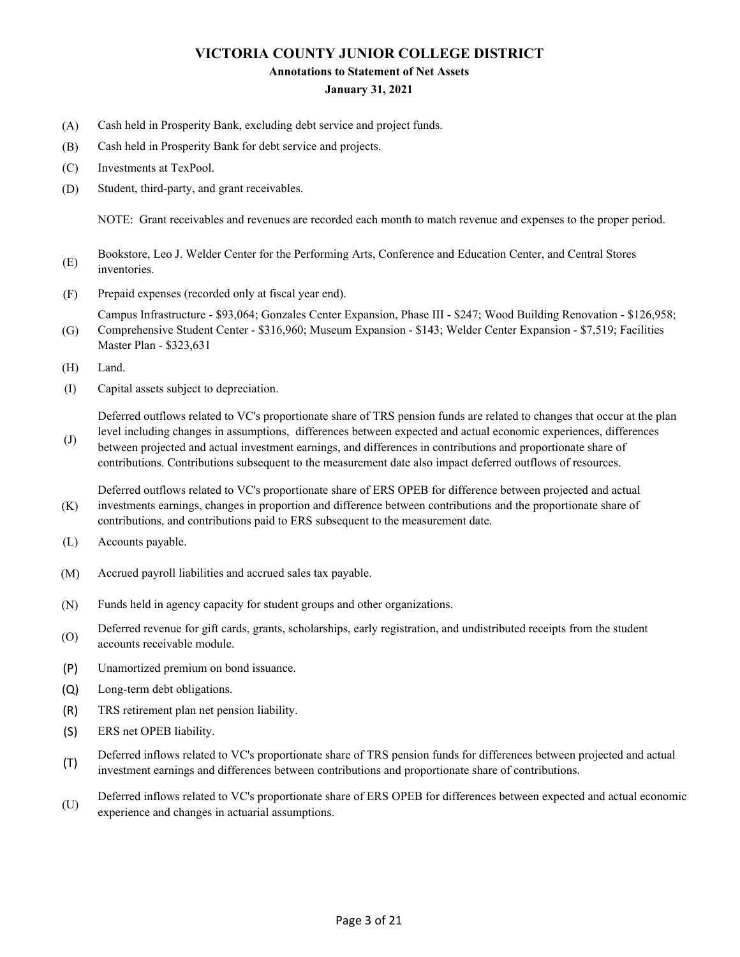#### **Annotations to Statement of Net Assets**

#### **January 31, 2021**

- (A) Cash held in Prosperity Bank, excluding debt service and project funds.
- (B) Cash held in Prosperity Bank for debt service and projects.
- (C) Investments at TexPool.
- (D) Student, third-party, and grant receivables.

NOTE: Grant receivables and revenues are recorded each month to match revenue and expenses to the proper period.

- (E) Bookstore, Leo J. Welder Center for the Performing Arts, Conference and Education Center, and Central Stores inventories.
- (F) Prepaid expenses (recorded only at fiscal year end).

(G) Campus Infrastructure - \$93,064; Gonzales Center Expansion, Phase III - \$247; Wood Building Renovation - \$126,958; Comprehensive Student Center - \$316,960; Museum Expansion - \$143; Welder Center Expansion - \$7,519; Facilities

- Master Plan \$323,631
- (H) Land.

(J)

(I) Capital assets subject to depreciation.

Deferred outflows related to VC's proportionate share of TRS pension funds are related to changes that occur at the plan level including changes in assumptions, differences between expected and actual economic experiences, differences

between projected and actual investment earnings, and differences in contributions and proportionate share of contributions. Contributions subsequent to the measurement date also impact deferred outflows of resources.

(K) Deferred outflows related to VC's proportionate share of ERS OPEB for difference between projected and actual investments earnings, changes in proportion and difference between contributions and the proportionate share of contributions, and contributions paid to ERS subsequent to the measurement date.

- (L) Accounts payable.
- (M) Accrued payroll liabilities and accrued sales tax payable.
- (N) Funds held in agency capacity for student groups and other organizations.
- (O) Deferred revenue for gift cards, grants, scholarships, early registration, and undistributed receipts from the student accounts receivable module.
- (P) Unamortized premium on bond issuance.
- (Q) Long-term debt obligations.
- (R) TRS retirement plan net pension liability.
- (S) ERS net OPEB liability.
- (T) Deferred inflows related to VC's proportionate share of TRS pension funds for differences between projected and actual investment earnings and differences between contributions and proportionate share of contributions.
- (U) Deferred inflows related to VC's proportionate share of ERS OPEB for differences between expected and actual economic experience and changes in actuarial assumptions.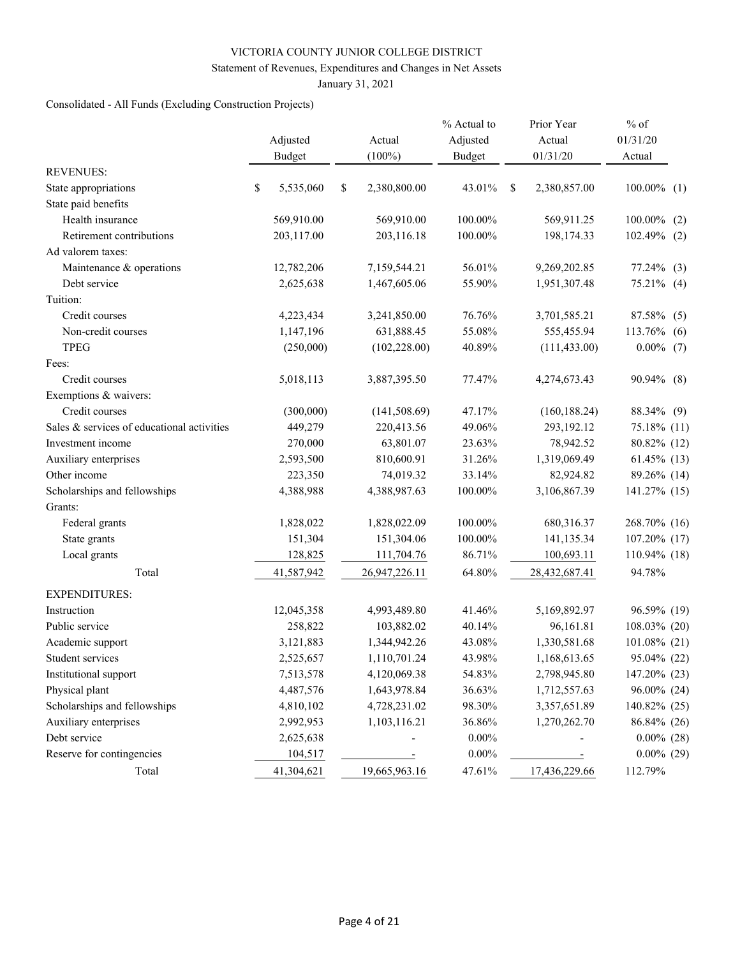#### Statement of Revenues, Expenditures and Changes in Net Assets

January 31, 2021

# Consolidated - All Funds (Excluding Construction Projects)

|                                            | Adjusted<br><b>Budget</b> | Actual<br>$(100\%)$ | % Actual to<br>Adjusted<br><b>Budget</b> |   | Prior Year<br>Actual<br>01/31/20 | $%$ of<br>01/31/20<br>Actual |
|--------------------------------------------|---------------------------|---------------------|------------------------------------------|---|----------------------------------|------------------------------|
| <b>REVENUES:</b>                           |                           |                     |                                          |   |                                  |                              |
| State appropriations                       | \$<br>5,535,060           | \$<br>2,380,800.00  | 43.01%                                   | S | 2,380,857.00                     | $100.00\%$ (1)               |
| State paid benefits                        |                           |                     |                                          |   |                                  |                              |
| Health insurance                           | 569,910.00                | 569,910.00          | 100.00%                                  |   | 569,911.25                       | 100.00%<br>(2)               |
| Retirement contributions                   | 203,117.00                | 203,116.18          | 100.00%                                  |   | 198,174.33                       | 102.49% (2)                  |
| Ad valorem taxes:                          |                           |                     |                                          |   |                                  |                              |
| Maintenance & operations                   | 12,782,206                | 7,159,544.21        | 56.01%                                   |   | 9,269,202.85                     | $77.24\%$ (3)                |
| Debt service                               | 2,625,638                 | 1,467,605.06        | 55.90%                                   |   | 1,951,307.48                     | $75.21\%$ (4)                |
| Tuition:                                   |                           |                     |                                          |   |                                  |                              |
| Credit courses                             | 4,223,434                 | 3,241,850.00        | 76.76%                                   |   | 3,701,585.21                     | 87.58% (5)                   |
| Non-credit courses                         | 1,147,196                 | 631,888.45          | 55.08%                                   |   | 555,455.94                       | 113.76%<br>(6)               |
| <b>TPEG</b>                                | (250,000)                 | (102, 228.00)       | 40.89%                                   |   | (111, 433.00)                    | $0.00\%$ (7)                 |
| Fees:                                      |                           |                     |                                          |   |                                  |                              |
| Credit courses                             | 5,018,113                 | 3,887,395.50        | 77.47%                                   |   | 4,274,673.43                     | 90.94% (8)                   |
| Exemptions & waivers:                      |                           |                     |                                          |   |                                  |                              |
| Credit courses                             | (300,000)                 | (141, 508.69)       | 47.17%                                   |   | (160, 188.24)                    | 88.34% (9)                   |
| Sales & services of educational activities | 449,279                   | 220,413.56          | 49.06%                                   |   | 293,192.12                       | 75.18% (11)                  |
| Investment income                          | 270,000                   | 63,801.07           | 23.63%                                   |   | 78,942.52                        | 80.82% (12)                  |
| Auxiliary enterprises                      | 2,593,500                 | 810,600.91          | 31.26%                                   |   | 1,319,069.49                     | $61.45\%$ (13)               |
| Other income                               | 223,350                   | 74,019.32           | 33.14%                                   |   | 82,924.82                        | 89.26% (14)                  |
| Scholarships and fellowships               | 4,388,988                 | 4,388,987.63        | 100.00%                                  |   | 3,106,867.39                     | 141.27% (15)                 |
| Grants:                                    |                           |                     |                                          |   |                                  |                              |
| Federal grants                             | 1,828,022                 | 1,828,022.09        | 100.00%                                  |   | 680,316.37                       | 268.70% (16)                 |
| State grants                               | 151,304                   | 151,304.06          | 100.00%                                  |   | 141,135.34                       | 107.20% (17)                 |
| Local grants                               | 128,825                   | 111,704.76          | 86.71%                                   |   | 100,693.11                       | 110.94% (18)                 |
| Total                                      | 41,587,942                | 26,947,226.11       | 64.80%                                   |   | 28,432,687.41                    | 94.78%                       |
| <b>EXPENDITURES:</b>                       |                           |                     |                                          |   |                                  |                              |
| Instruction                                | 12,045,358                | 4,993,489.80        | 41.46%                                   |   | 5,169,892.97                     | 96.59% (19)                  |
| Public service                             | 258,822                   | 103,882.02          | 40.14%                                   |   | 96,161.81                        | 108.03% (20)                 |
| Academic support                           | 3,121,883                 | 1,344,942.26        | 43.08%                                   |   | 1,330,581.68                     | 101.08% (21)                 |
| Student services                           | 2,525,657                 | 1,110,701.24        | 43.98%                                   |   | 1,168,613.65                     | 95.04% (22)                  |
| Institutional support                      | 7,513,578                 | 4,120,069.38        | 54.83%                                   |   | 2,798,945.80                     | 147.20% (23)                 |
| Physical plant                             | 4,487,576                 | 1,643,978.84        | 36.63%                                   |   | 1,712,557.63                     | 96.00% (24)                  |
| Scholarships and fellowships               | 4,810,102                 | 4,728,231.02        | 98.30%                                   |   | 3,357,651.89                     | 140.82% (25)                 |
| Auxiliary enterprises                      | 2,992,953                 | 1,103,116.21        | 36.86%                                   |   | 1,270,262.70                     | 86.84% (26)                  |
| Debt service                               | 2,625,638                 |                     | $0.00\%$                                 |   |                                  | $0.00\%$ (28)                |
| Reserve for contingencies                  | 104,517                   |                     | $0.00\%$                                 |   |                                  | $0.00\%$ (29)                |
| Total                                      | 41,304,621                | 19,665,963.16       | 47.61%                                   |   | 17,436,229.66                    | 112.79%                      |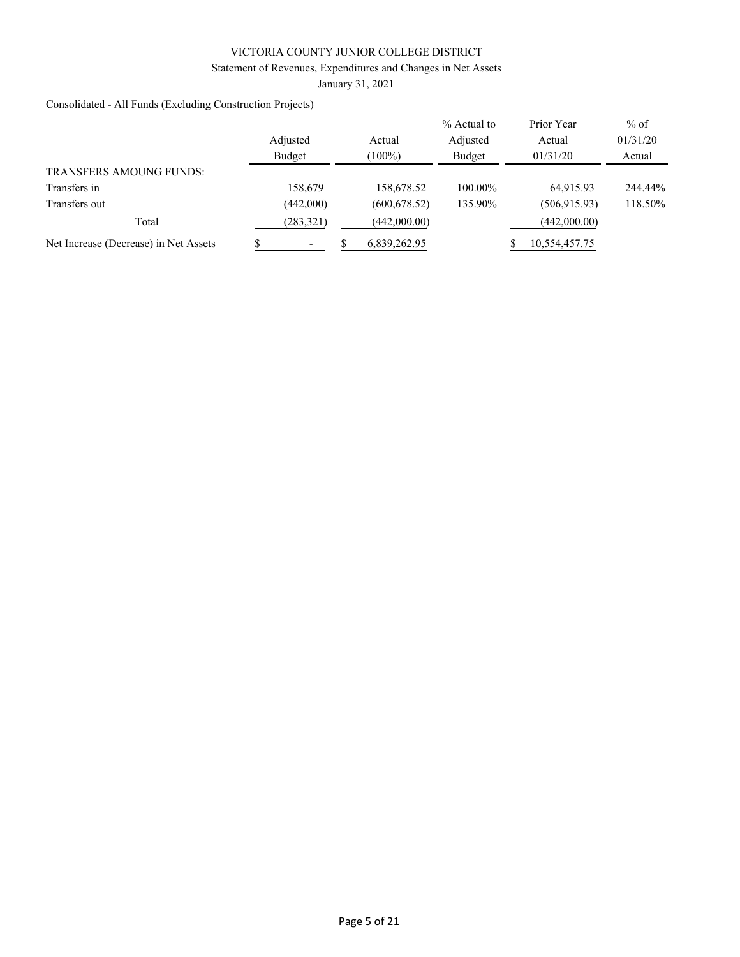### Statement of Revenues, Expenditures and Changes in Net Assets

January 31, 2021

Consolidated - All Funds (Excluding Construction Projects)

|                                       |            |               | % Actual to | Prior Year    | $%$ of   |
|---------------------------------------|------------|---------------|-------------|---------------|----------|
|                                       | Adjusted   | Actual        | Adjusted    | Actual        | 01/31/20 |
|                                       | Budget     | $(100\%)$     | Budget      | 01/31/20      | Actual   |
| <b>TRANSFERS AMOUNG FUNDS:</b>        |            |               |             |               |          |
| Transfers in                          | 158,679    | 158,678.52    | 100.00%     | 64.915.93     | 244.44%  |
| Transfers out                         | (442,000)  | (600, 678.52) | 135.90%     | (506, 915.93) | 118.50%  |
| Total                                 | (283, 321) | (442,000.00)  |             | (442,000.00)  |          |
| Net Increase (Decrease) in Net Assets |            | 6,839,262.95  |             | 10,554,457.75 |          |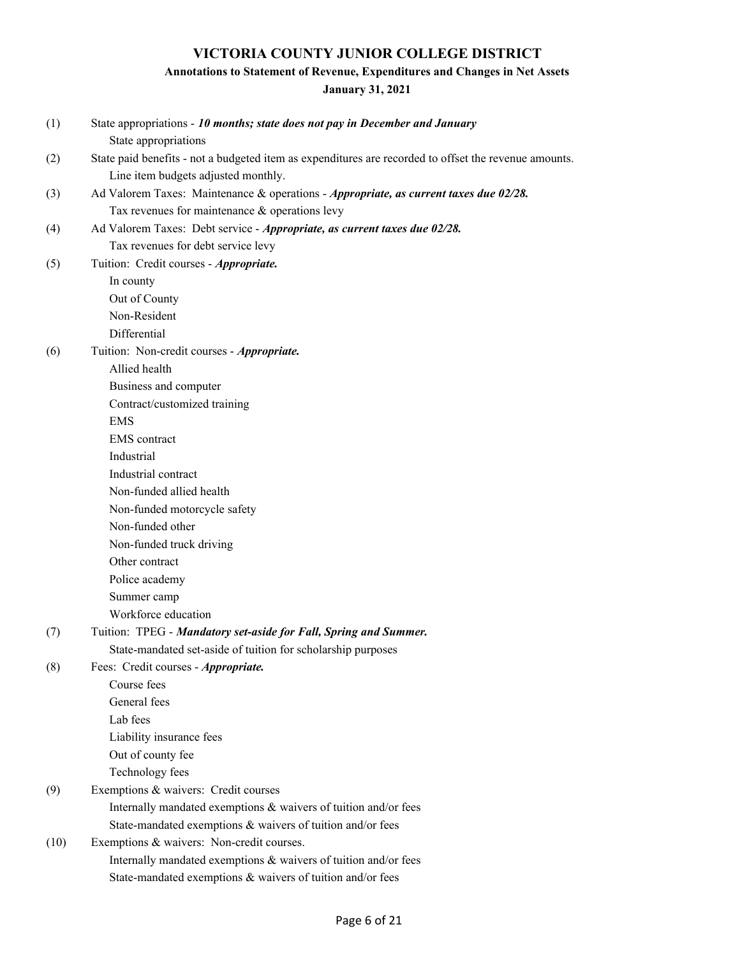# **Annotations to Statement of Revenue, Expenditures and Changes in Net Assets**

**January 31, 2021**

| (1)  | State appropriations - 10 months; state does not pay in December and January                          |
|------|-------------------------------------------------------------------------------------------------------|
|      | State appropriations                                                                                  |
| (2)  | State paid benefits - not a budgeted item as expenditures are recorded to offset the revenue amounts. |
|      | Line item budgets adjusted monthly.                                                                   |
| (3)  | Ad Valorem Taxes: Maintenance & operations - Appropriate, as current taxes due 02/28.                 |
|      | Tax revenues for maintenance & operations levy                                                        |
| (4)  | Ad Valorem Taxes: Debt service - Appropriate, as current taxes due 02/28.                             |
|      | Tax revenues for debt service levy                                                                    |
| (5)  | Tuition: Credit courses - Appropriate.                                                                |
|      | In county                                                                                             |
|      | Out of County                                                                                         |
|      | Non-Resident                                                                                          |
|      | Differential                                                                                          |
| (6)  | Tuition: Non-credit courses - Appropriate.                                                            |
|      | Allied health                                                                                         |
|      | Business and computer                                                                                 |
|      | Contract/customized training                                                                          |
|      | <b>EMS</b>                                                                                            |
|      | <b>EMS</b> contract                                                                                   |
|      | Industrial                                                                                            |
|      | Industrial contract                                                                                   |
|      | Non-funded allied health                                                                              |
|      | Non-funded motorcycle safety                                                                          |
|      | Non-funded other                                                                                      |
|      | Non-funded truck driving                                                                              |
|      | Other contract                                                                                        |
|      | Police academy                                                                                        |
|      | Summer camp                                                                                           |
|      | Workforce education                                                                                   |
| (7)  | Tuition: TPEG - Mandatory set-aside for Fall, Spring and Summer.                                      |
|      | State-mandated set-aside of tuition for scholarship purposes                                          |
| (8)  | Fees: Credit courses - Appropriate.                                                                   |
|      | Course fees                                                                                           |
|      | General fees                                                                                          |
|      | Lab fees                                                                                              |
|      | Liability insurance fees                                                                              |
|      | Out of county fee                                                                                     |
|      | Technology fees                                                                                       |
| (9)  | Exemptions & waivers: Credit courses                                                                  |
|      | Internally mandated exemptions & waivers of tuition and/or fees                                       |
|      | State-mandated exemptions & waivers of tuition and/or fees                                            |
| (10) | Exemptions & waivers: Non-credit courses.                                                             |
|      | Internally mandated exemptions & waivers of tuition and/or fees                                       |
|      | State-mandated exemptions & waivers of tuition and/or fees                                            |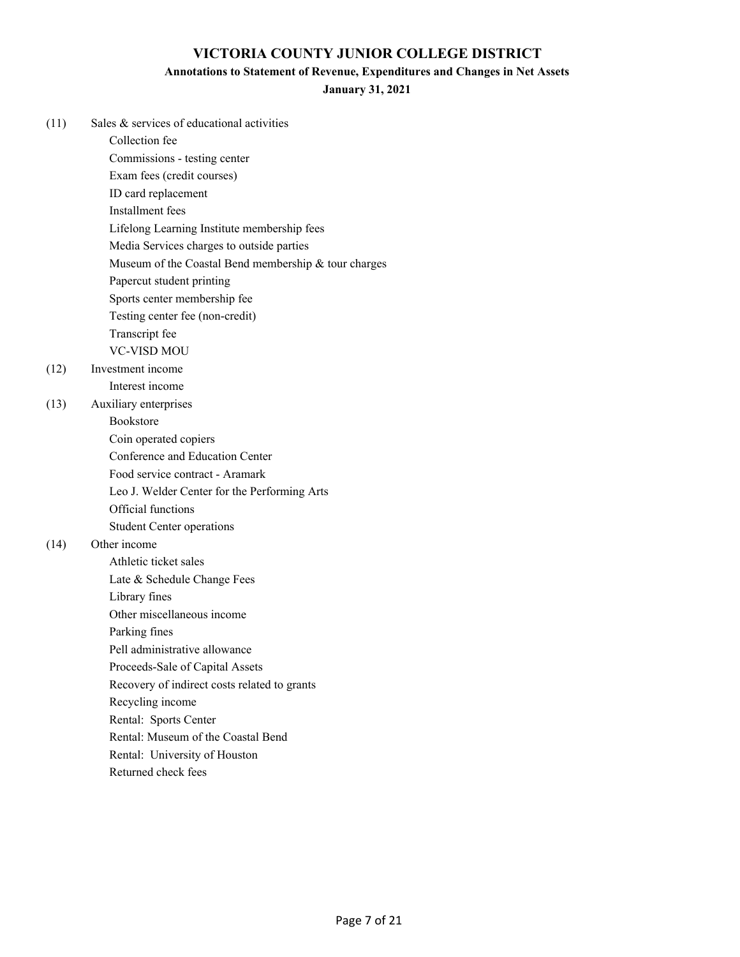#### **Annotations to Statement of Revenue, Expenditures and Changes in Net Assets**

**January 31, 2021**

| (11) | Sales & services of educational activities           |
|------|------------------------------------------------------|
|      | Collection fee                                       |
|      | Commissions - testing center                         |
|      | Exam fees (credit courses)                           |
|      | ID card replacement                                  |
|      | Installment fees                                     |
|      | Lifelong Learning Institute membership fees          |
|      | Media Services charges to outside parties            |
|      | Museum of the Coastal Bend membership & tour charges |
|      | Papercut student printing                            |
|      | Sports center membership fee                         |
|      | Testing center fee (non-credit)                      |
|      | Transcript fee                                       |
|      | <b>VC-VISD MOU</b>                                   |
| (12) | Investment income                                    |
|      | Interest income                                      |
| (13) | Auxiliary enterprises                                |
|      | <b>Bookstore</b>                                     |
|      | Coin operated copiers                                |
|      | Conference and Education Center                      |
|      | Food service contract - Aramark                      |
|      | Leo J. Welder Center for the Performing Arts         |
|      | Official functions                                   |
|      | <b>Student Center operations</b>                     |
| (14) | Other income                                         |
|      | Athletic ticket sales                                |
|      | Late & Schedule Change Fees                          |
|      | Library fines                                        |
|      | Other miscellaneous income                           |
|      | Parking fines                                        |
|      | Pell administrative allowance                        |
|      | Proceeds-Sale of Capital Assets                      |
|      | Recovery of indirect costs related to grants         |
|      | Recycling income                                     |
|      | Rental: Sports Center                                |
|      | Rental: Museum of the Coastal Bend                   |
|      | Rental: University of Houston                        |

Returned check fees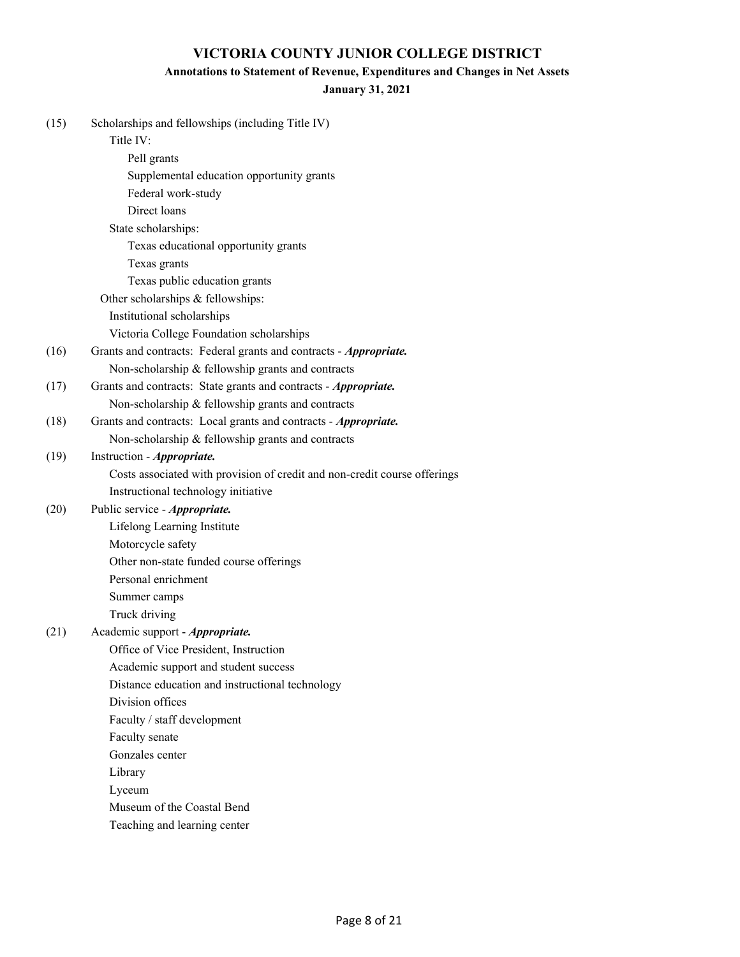# **Annotations to Statement of Revenue, Expenditures and Changes in Net Assets**

#### **January 31, 2021**

| (15) | Scholarships and fellowships (including Title IV)<br>Title IV:            |
|------|---------------------------------------------------------------------------|
|      | Pell grants                                                               |
|      | Supplemental education opportunity grants                                 |
|      | Federal work-study                                                        |
|      | Direct loans                                                              |
|      | State scholarships:                                                       |
|      | Texas educational opportunity grants                                      |
|      | Texas grants                                                              |
|      | Texas public education grants                                             |
|      | Other scholarships & fellowships:                                         |
|      | Institutional scholarships                                                |
|      | Victoria College Foundation scholarships                                  |
| (16) | Grants and contracts: Federal grants and contracts - Appropriate.         |
|      | Non-scholarship & fellowship grants and contracts                         |
| (17) | Grants and contracts: State grants and contracts - Appropriate.           |
|      | Non-scholarship & fellowship grants and contracts                         |
| (18) | Grants and contracts: Local grants and contracts - Appropriate.           |
|      | Non-scholarship & fellowship grants and contracts                         |
| (19) | Instruction - Appropriate.                                                |
|      | Costs associated with provision of credit and non-credit course offerings |
|      | Instructional technology initiative                                       |
| (20) | Public service - Appropriate.                                             |
|      | Lifelong Learning Institute                                               |
|      | Motorcycle safety                                                         |
|      | Other non-state funded course offerings                                   |
|      | Personal enrichment                                                       |
|      | Summer camps                                                              |
|      | Truck driving                                                             |
| (21) | Academic support - Appropriate.                                           |
|      | Office of Vice President, Instruction                                     |
|      | Academic support and student success                                      |
|      | Distance education and instructional technology                           |
|      | Division offices                                                          |
|      | Faculty / staff development                                               |
|      | Faculty senate                                                            |
|      | Gonzales center                                                           |
|      | Library                                                                   |
|      | Lyceum                                                                    |
|      | Museum of the Coastal Bend                                                |
|      | Teaching and learning center                                              |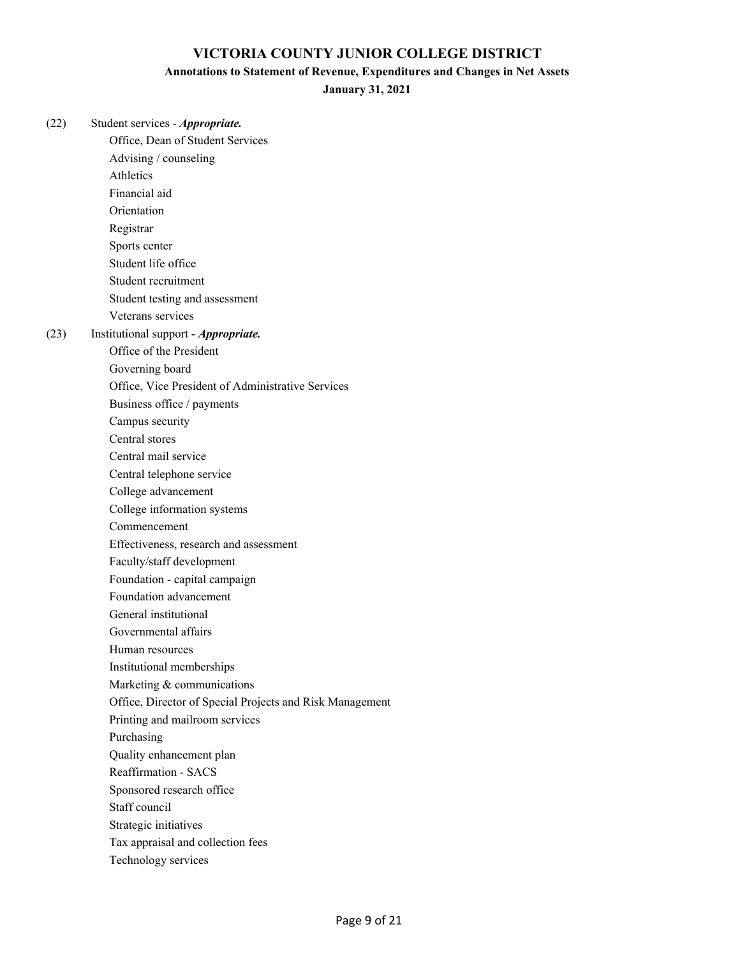#### **Annotations to Statement of Revenue, Expenditures and Changes in Net Assets**

**January 31, 2021**

(22) Student services - *Appropriate.* Office, Dean of Student Services Advising / counseling Athletics Financial aid Orientation Registrar Sports center Student life office Student recruitment Student testing and assessment Veterans services (23) Institutional support - *Appropriate.* Office of the President Governing board Office, Vice President of Administrative Services Business office / payments Campus security Central stores Central mail service Central telephone service College advancement College information systems Commencement Effectiveness, research and assessment Faculty/staff development Foundation - capital campaign Foundation advancement General institutional Governmental affairs Human resources Institutional memberships Marketing & communications Office, Director of Special Projects and Risk Management Printing and mailroom services Purchasing Quality enhancement plan Reaffirmation - SACS Sponsored research office Staff council Strategic initiatives Tax appraisal and collection fees

Technology services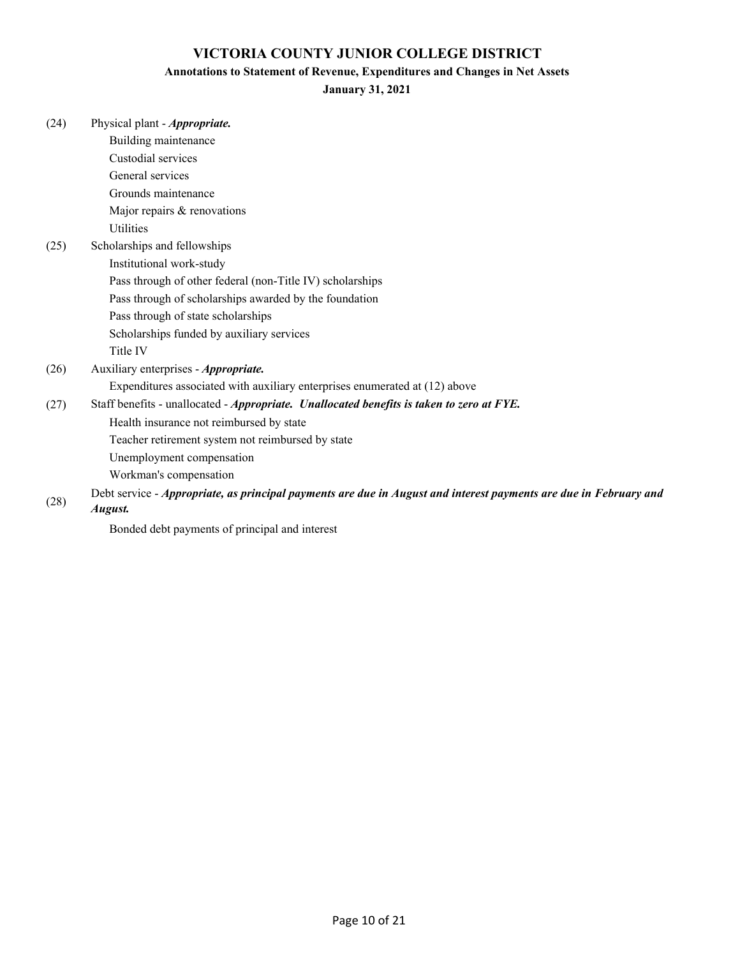### **Annotations to Statement of Revenue, Expenditures and Changes in Net Assets**

**January 31, 2021**

| (24) | Physical plant - Appropriate.                                                                                     |
|------|-------------------------------------------------------------------------------------------------------------------|
|      | Building maintenance                                                                                              |
|      | Custodial services                                                                                                |
|      | General services                                                                                                  |
|      | Grounds maintenance                                                                                               |
|      | Major repairs & renovations                                                                                       |
|      | <b>Utilities</b>                                                                                                  |
| (25) | Scholarships and fellowships                                                                                      |
|      | Institutional work-study                                                                                          |
|      | Pass through of other federal (non-Title IV) scholarships                                                         |
|      | Pass through of scholarships awarded by the foundation                                                            |
|      | Pass through of state scholarships                                                                                |
|      | Scholarships funded by auxiliary services                                                                         |
|      | Title IV                                                                                                          |
| (26) | Auxiliary enterprises - Appropriate.                                                                              |
|      | Expenditures associated with auxiliary enterprises enumerated at (12) above                                       |
| (27) | Staff benefits - unallocated - Appropriate. Unallocated benefits is taken to zero at FYE.                         |
|      | Health insurance not reimbursed by state                                                                          |
|      | Teacher retirement system not reimbursed by state                                                                 |
|      | Unemployment compensation                                                                                         |
|      | Workman's compensation                                                                                            |
|      | Debt service - Appropriate, as principal payments are due in August and interest payments are due in February and |
| (28) | August.                                                                                                           |

Bonded debt payments of principal and interest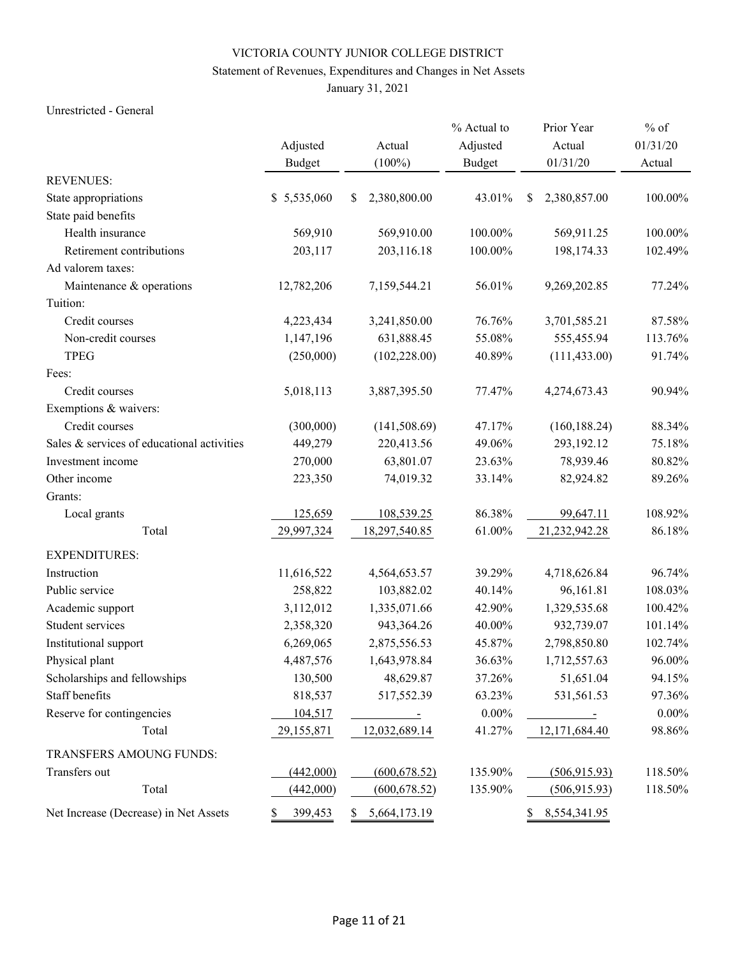# Statement of Revenues, Expenditures and Changes in Net Assets

January 31, 2021

#### Unrestricted - General

|                                            |               |                                                           | % Actual to   | Prior Year               | $%$ of   |
|--------------------------------------------|---------------|-----------------------------------------------------------|---------------|--------------------------|----------|
|                                            | Adjusted      | Actual                                                    | Adjusted      | Actual                   | 01/31/20 |
|                                            | <b>Budget</b> | $(100\%)$                                                 | <b>Budget</b> | 01/31/20                 | Actual   |
| <b>REVENUES:</b>                           |               |                                                           |               |                          |          |
| State appropriations                       | \$5,535,060   | 2,380,800.00<br>\$                                        | 43.01%        | \$<br>2,380,857.00       | 100.00%  |
| State paid benefits                        |               |                                                           |               |                          |          |
| Health insurance                           | 569,910       | 569,910.00                                                | 100.00%       | 569,911.25               | 100.00%  |
| Retirement contributions                   | 203,117       | 203,116.18                                                | 100.00%       | 198,174.33               | 102.49%  |
| Ad valorem taxes:                          |               |                                                           |               |                          |          |
| Maintenance & operations                   | 12,782,206    | 7,159,544.21                                              | 56.01%        | 9,269,202.85             | 77.24%   |
| Tuition:                                   |               |                                                           |               |                          |          |
| Credit courses                             | 4,223,434     | 3,241,850.00                                              | 76.76%        | 3,701,585.21             | 87.58%   |
| Non-credit courses                         | 1,147,196     | 631,888.45                                                | 55.08%        | 555,455.94               | 113.76%  |
| <b>TPEG</b>                                | (250,000)     | (102, 228.00)                                             | 40.89%        | (111, 433.00)            | 91.74%   |
| Fees:                                      |               |                                                           |               |                          |          |
| Credit courses                             | 5,018,113     | 3,887,395.50                                              | 77.47%        | 4,274,673.43             | 90.94%   |
| Exemptions & waivers:                      |               |                                                           |               |                          |          |
| Credit courses                             | (300,000)     | (141, 508.69)                                             | 47.17%        | (160, 188.24)            | 88.34%   |
| Sales & services of educational activities | 449,279       | 220,413.56                                                | 49.06%        | 293,192.12               | 75.18%   |
| Investment income                          | 270,000       | 63,801.07                                                 | 23.63%        | 78,939.46                | 80.82%   |
| Other income                               | 223,350       | 74,019.32                                                 | 33.14%        | 82,924.82                | 89.26%   |
| Grants:                                    |               |                                                           |               |                          |          |
| Local grants                               | 125,659       | 108,539.25                                                | 86.38%        | 99,647.11                | 108.92%  |
| Total                                      | 29,997,324    | 18,297,540.85                                             | 61.00%        | 21,232,942.28            | 86.18%   |
| <b>EXPENDITURES:</b>                       |               |                                                           |               |                          |          |
| Instruction                                | 11,616,522    | 4,564,653.57                                              | 39.29%        | 4,718,626.84             | 96.74%   |
| Public service                             | 258,822       | 103,882.02                                                | 40.14%        | 96,161.81                | 108.03%  |
| Academic support                           | 3,112,012     | 1,335,071.66                                              | 42.90%        | 1,329,535.68             | 100.42%  |
| Student services                           | 2,358,320     | 943,364.26                                                | 40.00%        | 932,739.07               | 101.14%  |
| Institutional support                      | 6,269,065     | 2,875,556.53                                              | 45.87%        | 2,798,850.80             | 102.74%  |
| Physical plant                             | 4,487,576     | 1,643,978.84                                              | 36.63%        | 1,712,557.63             | 96.00%   |
| Scholarships and fellowships               | 130,500       | 48,629.87                                                 | 37.26%        | 51,651.04                | 94.15%   |
| Staff benefits                             | 818,537       | 517,552.39                                                | 63.23%        | 531,561.53               | 97.36%   |
| Reserve for contingencies                  | 104,517       | $\mathcal{L}(\mathcal{A})$ and $\mathcal{L}(\mathcal{A})$ | $0.00\%$      | <b>Contract Contract</b> | $0.00\%$ |
| Total                                      | 29,155,871    | 12,032,689.14                                             | 41.27%        | 12,171,684.40            | 98.86%   |
| TRANSFERS AMOUNG FUNDS:                    |               |                                                           |               |                          |          |
| Transfers out                              | (442,000)     | (600, 678.52)                                             | 135.90%       | (506,915.93)             | 118.50%  |
| Total                                      | (442,000)     | (600, 678.52)                                             | 135.90%       | (506, 915.93)            | 118.50%  |
| Net Increase (Decrease) in Net Assets      | 399,453<br>S. | 5,664,173.19<br>S.                                        |               | 8,554,341.95<br>\$       |          |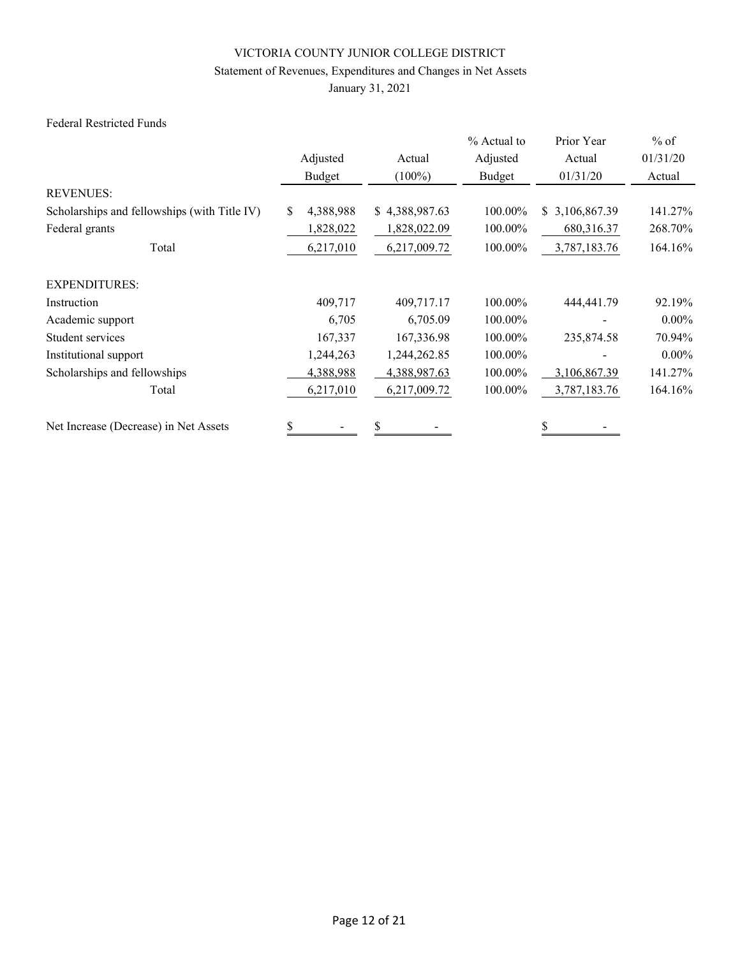# Statement of Revenues, Expenditures and Changes in Net Assets

January 31, 2021

### Federal Restricted Funds

|                                              |                 |                | % Actual to | Prior Year      | $%$ of   |
|----------------------------------------------|-----------------|----------------|-------------|-----------------|----------|
|                                              | Adjusted        | Actual         | Adjusted    | Actual          | 01/31/20 |
|                                              | Budget          | $(100\%)$      | Budget      | 01/31/20        | Actual   |
| <b>REVENUES:</b>                             |                 |                |             |                 |          |
| Scholarships and fellowships (with Title IV) | \$<br>4,388,988 | \$4,388,987.63 | 100.00%     | \$ 3,106,867.39 | 141.27%  |
| Federal grants                               | 1,828,022       | 1,828,022.09   | 100.00%     | 680,316.37      | 268.70%  |
| Total                                        | 6,217,010       | 6,217,009.72   | 100.00%     | 3,787,183.76    | 164.16%  |
| <b>EXPENDITURES:</b>                         |                 |                |             |                 |          |
| Instruction                                  | 409,717         | 409,717.17     | 100.00%     | 444,441.79      | 92.19%   |
| Academic support                             | 6,705           | 6,705.09       | 100.00%     |                 | $0.00\%$ |
| Student services                             | 167,337         | 167,336.98     | 100.00%     | 235,874.58      | 70.94%   |
| Institutional support                        | 1,244,263       | 1,244,262.85   | 100.00%     |                 | $0.00\%$ |
| Scholarships and fellowships                 | 4,388,988       | 4,388,987.63   | 100.00%     | 3,106,867.39    | 141.27%  |
| Total                                        | 6,217,010       | 6,217,009.72   | 100.00%     | 3,787,183.76    | 164.16%  |
| Net Increase (Decrease) in Net Assets        | \$              | \$             |             |                 |          |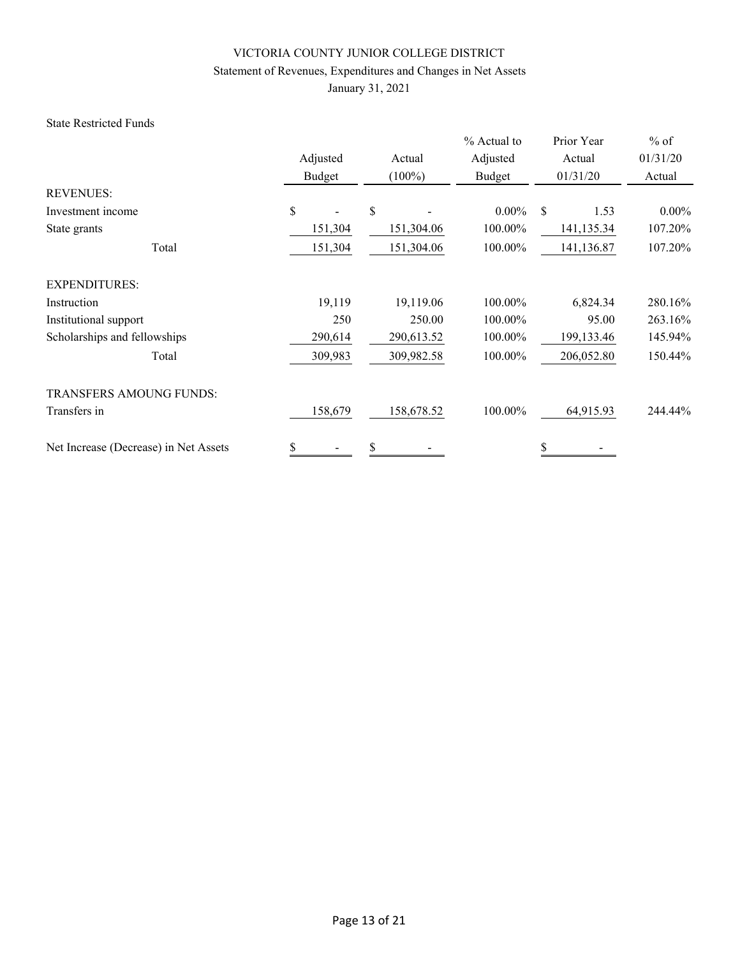# Statement of Revenues, Expenditures and Changes in Net Assets

January 31, 2021

#### State Restricted Funds

|                                       |               |            | % Actual to | Prior Year   | $%$ of   |
|---------------------------------------|---------------|------------|-------------|--------------|----------|
|                                       | Adjusted      | Actual     | Adjusted    | Actual       | 01/31/20 |
|                                       | <b>Budget</b> | $(100\%)$  | Budget      | 01/31/20     | Actual   |
| <b>REVENUES:</b>                      |               |            |             |              |          |
| Investment income                     | \$            | \$         | $0.00\%$    | \$<br>1.53   | $0.00\%$ |
| State grants                          | 151,304       | 151,304.06 | 100.00%     | 141,135.34   | 107.20%  |
| Total                                 | 151,304       | 151,304.06 | 100.00%     | 141,136.87   | 107.20%  |
| <b>EXPENDITURES:</b>                  |               |            |             |              |          |
| Instruction                           | 19,119        | 19,119.06  | 100.00%     | 6,824.34     | 280.16%  |
| Institutional support                 | 250           | 250.00     | 100.00%     | 95.00        | 263.16%  |
| Scholarships and fellowships          | 290,614       | 290,613.52 | 100.00%     | 199, 133. 46 | 145.94%  |
| Total                                 | 309,983       | 309,982.58 | 100.00%     | 206,052.80   | 150.44%  |
| <b>TRANSFERS AMOUNG FUNDS:</b>        |               |            |             |              |          |
| Transfers in                          | 158,679       | 158,678.52 | 100.00%     | 64,915.93    | 244.44%  |
| Net Increase (Decrease) in Net Assets | \$            | \$         |             | \$           |          |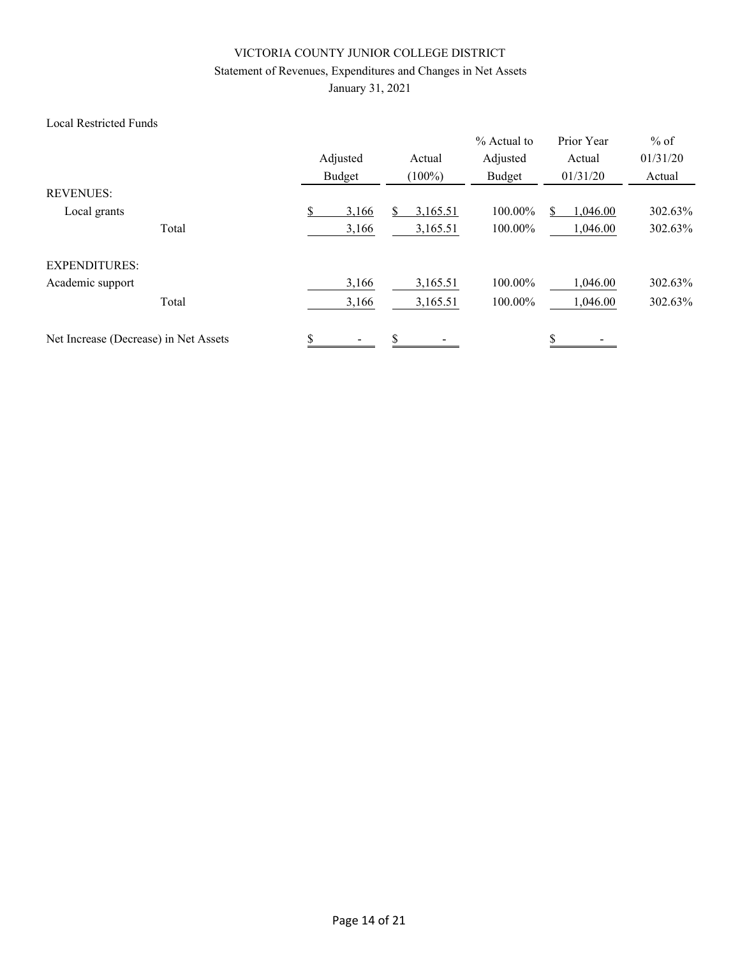# Statement of Revenues, Expenditures and Changes in Net Assets

January 31, 2021

### Local Restricted Funds

|                                       | Adjusted   | Actual    | % Actual to<br>Adjusted | Prior Year<br>Actual | $%$ of<br>01/31/20 |
|---------------------------------------|------------|-----------|-------------------------|----------------------|--------------------|
|                                       | Budget     | $(100\%)$ | Budget                  | 01/31/20             | Actual             |
| <b>REVENUES:</b>                      |            |           |                         |                      |                    |
| Local grants                          | S<br>3,166 | 3,165.51  | 100.00%                 | 1,046.00             | 302.63%            |
| Total                                 | 3,166      | 3,165.51  | 100.00%                 | 1,046.00             | 302.63%            |
| <b>EXPENDITURES:</b>                  |            |           |                         |                      |                    |
| Academic support                      | 3,166      | 3,165.51  | 100.00%                 | 1,046.00             | 302.63%            |
| Total                                 | 3,166      | 3,165.51  | 100.00%                 | 1,046.00             | 302.63%            |
| Net Increase (Decrease) in Net Assets | \$         | \$        |                         | \$                   |                    |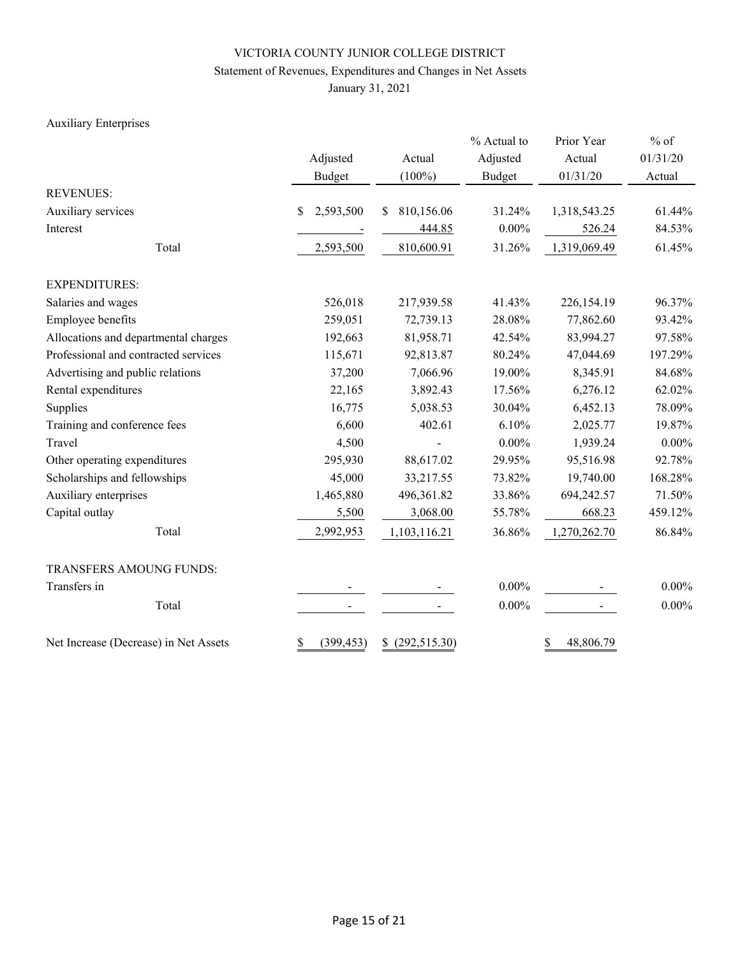# Statement of Revenues, Expenditures and Changes in Net Assets

January 31, 2021

# Auxiliary Enterprises

|                                       |                  |                  | % Actual to   | Prior Year      | $%$ of   |  |
|---------------------------------------|------------------|------------------|---------------|-----------------|----------|--|
|                                       | Adjusted         | Actual           | Adjusted      | Actual          | 01/31/20 |  |
|                                       | <b>Budget</b>    | $(100\%)$        | <b>Budget</b> | 01/31/20        | Actual   |  |
| <b>REVENUES:</b>                      |                  |                  |               |                 |          |  |
| Auxiliary services                    | 2,593,500<br>S   | 810,156.06<br>\$ | 31.24%        | 1,318,543.25    | 61.44%   |  |
| Interest                              |                  | 444.85           | $0.00\%$      | 526.24          | 84.53%   |  |
| Total                                 | 2,593,500        | 810,600.91       | 31.26%        | 1,319,069.49    | 61.45%   |  |
| <b>EXPENDITURES:</b>                  |                  |                  |               |                 |          |  |
| Salaries and wages                    | 526,018          | 217,939.58       | 41.43%        | 226,154.19      | 96.37%   |  |
| Employee benefits                     | 259,051          | 72,739.13        | 28.08%        | 77,862.60       | 93.42%   |  |
| Allocations and departmental charges  | 192,663          | 81,958.71        | 42.54%        | 83,994.27       | 97.58%   |  |
| Professional and contracted services  | 115,671          | 92,813.87        | 80.24%        | 47,044.69       | 197.29%  |  |
| Advertising and public relations      | 37,200           | 7,066.96         | 19.00%        | 8,345.91        | 84.68%   |  |
| Rental expenditures                   | 22,165           | 3,892.43         | 17.56%        | 6,276.12        | 62.02%   |  |
| Supplies                              | 16,775           | 5,038.53         | 30.04%        | 6,452.13        | 78.09%   |  |
| Training and conference fees          | 6,600            | 402.61           | 6.10%         | 2,025.77        | 19.87%   |  |
| Travel                                | 4,500            |                  | $0.00\%$      | 1,939.24        | $0.00\%$ |  |
| Other operating expenditures          | 295,930          | 88,617.02        | 29.95%        | 95,516.98       | 92.78%   |  |
| Scholarships and fellowships          | 45,000           | 33,217.55        | 73.82%        | 19,740.00       | 168.28%  |  |
| Auxiliary enterprises                 | 1,465,880        | 496,361.82       | 33.86%        | 694,242.57      | 71.50%   |  |
| Capital outlay                        | 5,500            | 3,068.00         | 55.78%        | 668.23          | 459.12%  |  |
| Total                                 | 2,992,953        | 1,103,116.21     | 36.86%        | 1,270,262.70    | 86.84%   |  |
| TRANSFERS AMOUNG FUNDS:               |                  |                  |               |                 |          |  |
| Transfers in                          |                  |                  | $0.00\%$      |                 | $0.00\%$ |  |
| Total                                 |                  |                  | $0.00\%$      |                 | $0.00\%$ |  |
| Net Increase (Decrease) in Net Assets | \$<br>(399, 453) | \$(292,515.30)   |               | 48,806.79<br>\$ |          |  |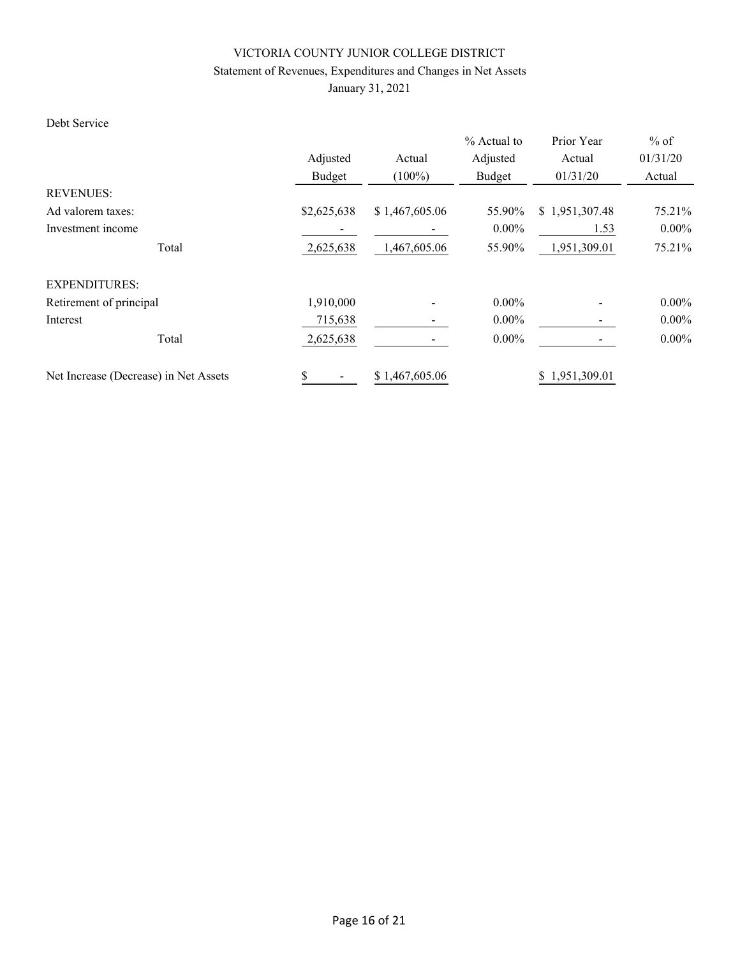# Statement of Revenues, Expenditures and Changes in Net Assets

January 31, 2021

### Debt Service

|                                       |             |                | $%$ Actual to | Prior Year     | $%$ of   |
|---------------------------------------|-------------|----------------|---------------|----------------|----------|
|                                       | Adjusted    | Actual         | Adjusted      | Actual         | 01/31/20 |
|                                       | Budget      | $(100\%)$      | Budget        | 01/31/20       | Actual   |
| <b>REVENUES:</b>                      |             |                |               |                |          |
| Ad valorem taxes:                     | \$2,625,638 | \$1,467,605.06 | 55.90%        | \$1,951,307.48 | 75.21%   |
| Investment income                     |             |                | $0.00\%$      | 1.53           | $0.00\%$ |
| Total                                 | 2,625,638   | 1,467,605.06   | 55.90%        | 1,951,309.01   | 75.21%   |
| <b>EXPENDITURES:</b>                  |             |                |               |                |          |
| Retirement of principal               | 1,910,000   |                | $0.00\%$      |                | $0.00\%$ |
| Interest                              | 715,638     |                | $0.00\%$      |                | $0.00\%$ |
| Total                                 | 2,625,638   |                | $0.00\%$      |                | $0.00\%$ |
| Net Increase (Decrease) in Net Assets |             | \$1,467,605.06 |               | \$1,951,309.01 |          |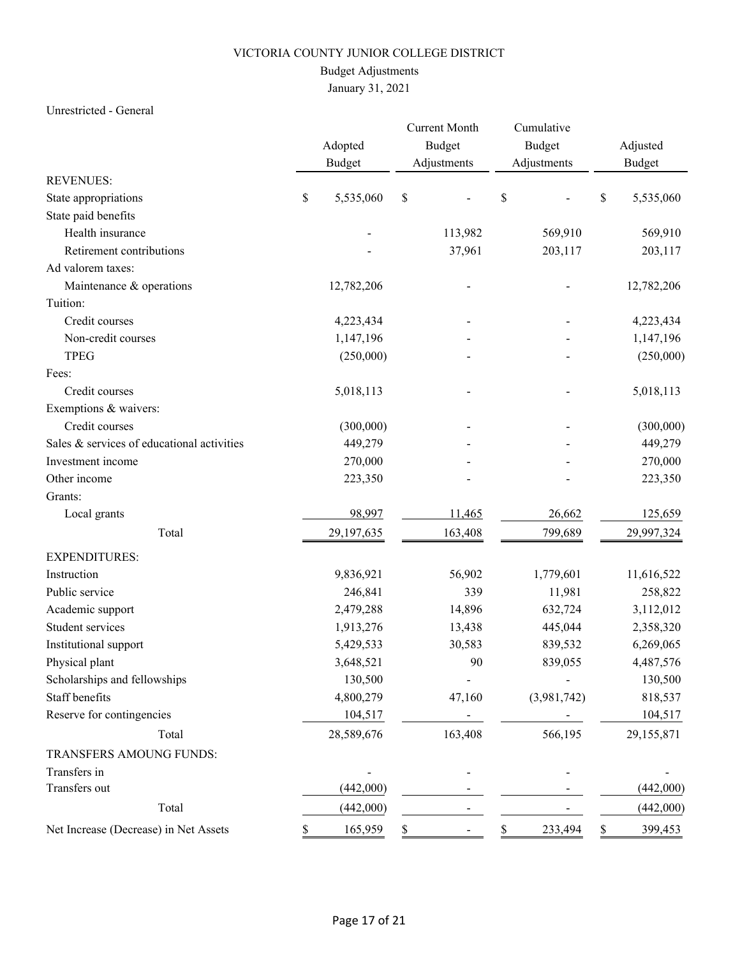# Budget Adjustments

January 31, 2021

### Unrestricted - General

|                                            | Adopted         | <b>Current Month</b><br>Budget | Cumulative<br>Budget |    | Adjusted      |
|--------------------------------------------|-----------------|--------------------------------|----------------------|----|---------------|
|                                            | <b>Budget</b>   | Adjustments                    | Adjustments          |    | <b>Budget</b> |
| <b>REVENUES:</b>                           |                 |                                |                      |    |               |
| State appropriations                       | \$<br>5,535,060 | $\mathbb S$                    | \$                   | \$ | 5,535,060     |
| State paid benefits                        |                 |                                |                      |    |               |
| Health insurance                           |                 | 113,982                        | 569,910              |    | 569,910       |
| Retirement contributions                   |                 | 37,961                         | 203,117              |    | 203,117       |
| Ad valorem taxes:                          |                 |                                |                      |    |               |
| Maintenance & operations                   | 12,782,206      |                                |                      |    | 12,782,206    |
| Tuition:                                   |                 |                                |                      |    |               |
| Credit courses                             | 4,223,434       |                                |                      |    | 4,223,434     |
| Non-credit courses                         | 1,147,196       |                                |                      |    | 1,147,196     |
| <b>TPEG</b>                                | (250,000)       |                                |                      |    | (250,000)     |
| Fees:                                      |                 |                                |                      |    |               |
| Credit courses                             | 5,018,113       |                                |                      |    | 5,018,113     |
| Exemptions & waivers:                      |                 |                                |                      |    |               |
| Credit courses                             | (300,000)       |                                |                      |    | (300,000)     |
| Sales & services of educational activities | 449,279         |                                |                      |    | 449,279       |
| Investment income                          | 270,000         |                                |                      |    | 270,000       |
| Other income                               | 223,350         |                                |                      |    | 223,350       |
| Grants:                                    |                 |                                |                      |    |               |
| Local grants                               | 98,997          | 11,465                         | 26,662               |    | 125,659       |
| Total                                      | 29,197,635      | 163,408                        | 799,689              |    | 29,997,324    |
| <b>EXPENDITURES:</b>                       |                 |                                |                      |    |               |
| Instruction                                | 9,836,921       | 56,902                         | 1,779,601            |    | 11,616,522    |
| Public service                             | 246,841         | 339                            | 11,981               |    | 258,822       |
| Academic support                           | 2,479,288       | 14,896                         | 632,724              |    | 3,112,012     |
| Student services                           | 1,913,276       | 13,438                         | 445,044              |    | 2,358,320     |
| Institutional support                      | 5,429,533       | 30,583                         | 839,532              |    | 6,269,065     |
| Physical plant                             | 3,648,521       | 90                             | 839,055              |    | 4,487,576     |
| Scholarships and fellowships               | 130,500         |                                |                      |    | 130,500       |
| Staff benefits                             | 4,800,279       | 47,160                         | (3,981,742)          |    | 818,537       |
| Reserve for contingencies                  | 104,517         |                                |                      |    | 104,517       |
| Total                                      | 28,589,676      | 163,408                        | 566,195              |    | 29,155,871    |
| TRANSFERS AMOUNG FUNDS:                    |                 |                                |                      |    |               |
| Transfers in                               |                 |                                |                      |    |               |
| Transfers out                              | (442,000)       |                                |                      |    | (442,000)     |
| Total                                      | (442,000)       |                                |                      |    | (442,000)     |
| Net Increase (Decrease) in Net Assets      | 165,959         | \$                             | 233,494              | S. | 399,453       |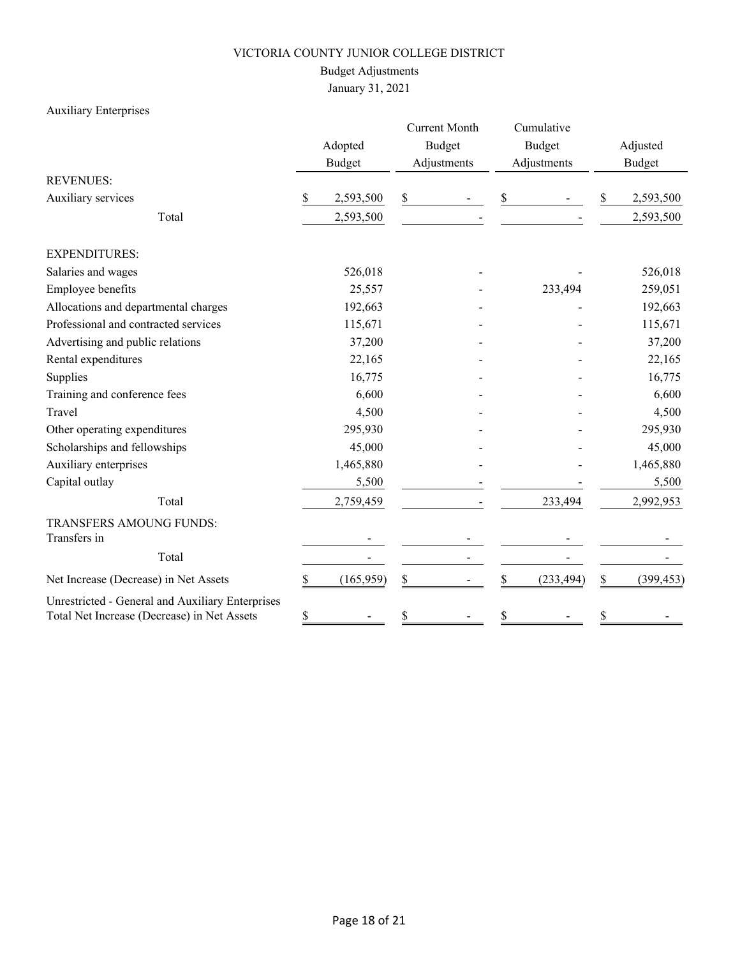# Budget Adjustments

January 31, 2021

# Auxiliary Enterprises

|                                                                                                 |    | Adopted<br><b>Budget</b> |    | <b>Current Month</b><br><b>Budget</b><br>Adjustments | Cumulative<br><b>Budget</b><br>Adjustments |    | Adjusted<br><b>Budget</b> |
|-------------------------------------------------------------------------------------------------|----|--------------------------|----|------------------------------------------------------|--------------------------------------------|----|---------------------------|
| <b>REVENUES:</b>                                                                                |    |                          |    |                                                      |                                            |    |                           |
| Auxiliary services                                                                              | \$ | 2,593,500                | \$ |                                                      | \$                                         | \$ | 2,593,500                 |
| Total                                                                                           |    | 2,593,500                |    |                                                      |                                            |    | 2,593,500                 |
| <b>EXPENDITURES:</b>                                                                            |    |                          |    |                                                      |                                            |    |                           |
| Salaries and wages                                                                              |    | 526,018                  |    |                                                      |                                            |    | 526,018                   |
| Employee benefits                                                                               |    | 25,557                   |    |                                                      | 233,494                                    |    | 259,051                   |
| Allocations and departmental charges                                                            |    | 192,663                  |    |                                                      |                                            |    | 192,663                   |
| Professional and contracted services                                                            |    | 115,671                  |    |                                                      |                                            |    | 115,671                   |
| Advertising and public relations                                                                |    | 37,200                   |    |                                                      |                                            |    | 37,200                    |
| Rental expenditures                                                                             |    | 22,165                   |    |                                                      |                                            |    | 22,165                    |
| Supplies                                                                                        |    | 16,775                   |    |                                                      |                                            |    | 16,775                    |
| Training and conference fees                                                                    |    | 6,600                    |    |                                                      |                                            |    | 6,600                     |
| Travel                                                                                          |    | 4,500                    |    |                                                      |                                            |    | 4,500                     |
| Other operating expenditures                                                                    |    | 295,930                  |    |                                                      |                                            |    | 295,930                   |
| Scholarships and fellowships                                                                    |    | 45,000                   |    |                                                      |                                            |    | 45,000                    |
| Auxiliary enterprises                                                                           |    | 1,465,880                |    |                                                      |                                            |    | 1,465,880                 |
| Capital outlay                                                                                  |    | 5,500                    |    |                                                      |                                            |    | 5,500                     |
| Total                                                                                           |    | 2,759,459                |    |                                                      | 233,494                                    |    | 2,992,953                 |
| TRANSFERS AMOUNG FUNDS:<br>Transfers in                                                         |    |                          |    |                                                      |                                            |    |                           |
| Total                                                                                           |    |                          |    |                                                      |                                            |    |                           |
| Net Increase (Decrease) in Net Assets                                                           | \$ | (165, 959)               | \$ |                                                      | \$<br>(233, 494)                           | \$ | (399, 453)                |
| Unrestricted - General and Auxiliary Enterprises<br>Total Net Increase (Decrease) in Net Assets | \$ |                          | \$ |                                                      | \$                                         | \$ |                           |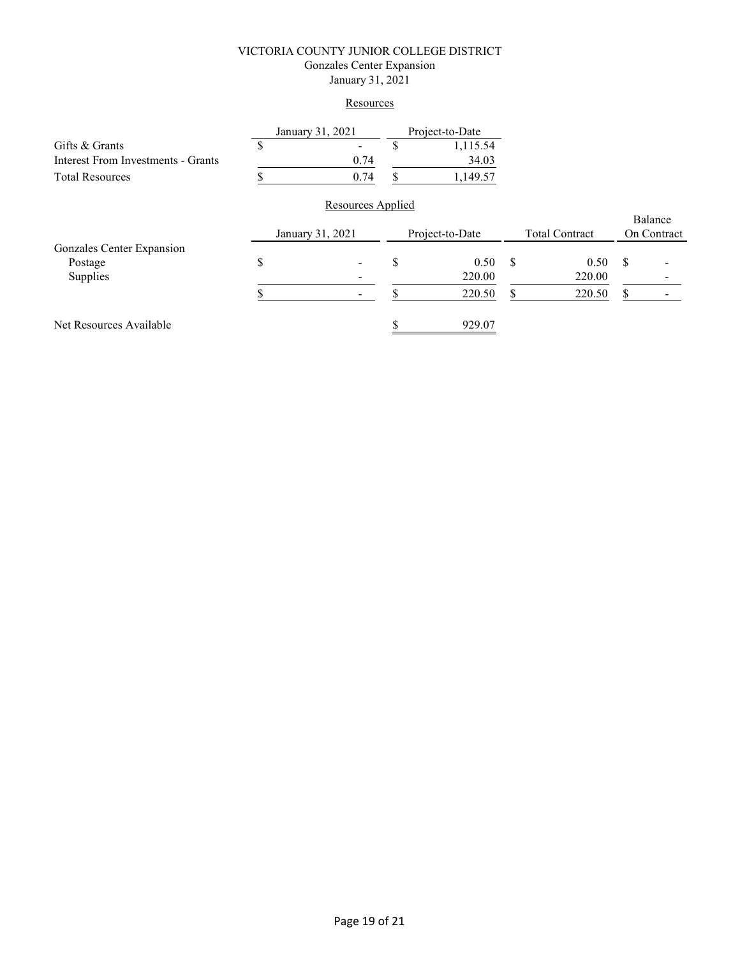#### VICTORIA COUNTY JUNIOR COLLEGE DISTRICT Gonzales Center Expansion January 31, 2021

#### **Resources**

| Gifts & Grants                     | S                                                                                                                                                                                                                                    | $\overline{\phantom{0}}$ | S | 1,115.54 |  |  |             |         |
|------------------------------------|--------------------------------------------------------------------------------------------------------------------------------------------------------------------------------------------------------------------------------------|--------------------------|---|----------|--|--|-------------|---------|
| Interest From Investments - Grants |                                                                                                                                                                                                                                      | 0.74                     |   | 34.03    |  |  |             |         |
| <b>Total Resources</b>             | January 31, 2021<br>Project-to-Date<br>0.74<br>1,149.57<br>S<br>Resources Applied<br>Project-to-Date<br><b>Total Contract</b><br>January 31, 2021<br>\$<br>0.50<br>S<br>\$<br>S<br>0.50<br>220.00<br>220.00<br>220.50<br>220.50<br>S |                          |   |          |  |  |             |         |
|                                    |                                                                                                                                                                                                                                      |                          |   |          |  |  |             |         |
|                                    |                                                                                                                                                                                                                                      |                          |   |          |  |  |             | Balance |
|                                    |                                                                                                                                                                                                                                      |                          |   |          |  |  | On Contract |         |
| Gonzales Center Expansion          |                                                                                                                                                                                                                                      |                          |   |          |  |  |             |         |
| Postage                            |                                                                                                                                                                                                                                      |                          |   |          |  |  |             |         |
| Supplies                           |                                                                                                                                                                                                                                      |                          |   |          |  |  |             |         |
|                                    |                                                                                                                                                                                                                                      |                          |   |          |  |  |             |         |

Net Resources Available 929.07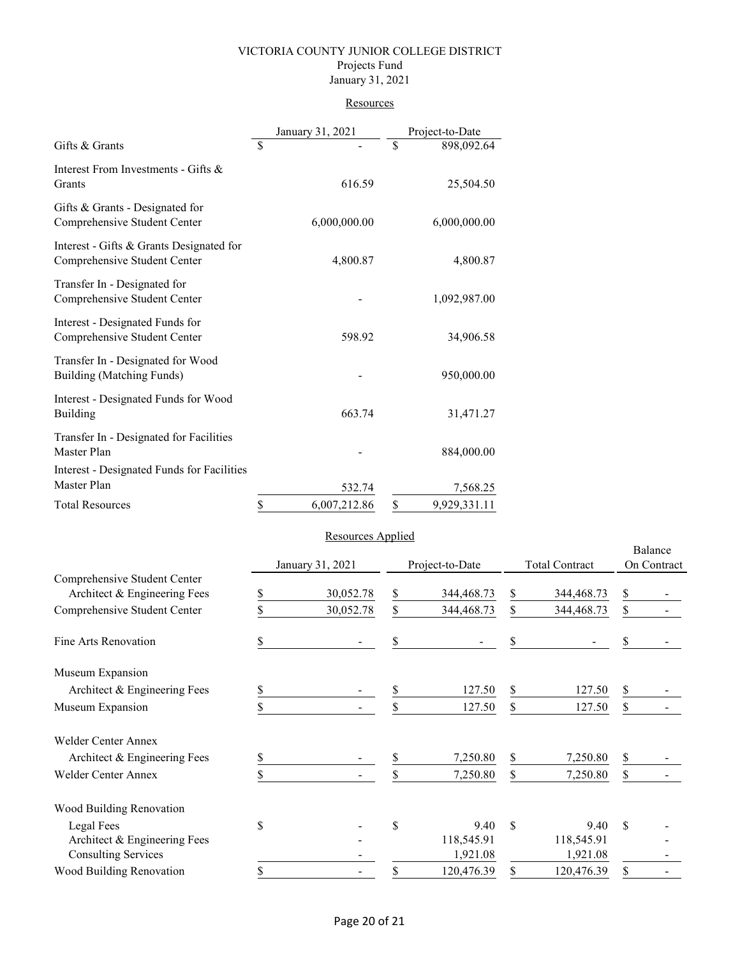#### VICTORIA COUNTY JUNIOR COLLEGE DISTRICT Projects Fund January 31, 2021

#### **Resources**

|                                                                          | January 31, 2021   | Project-to-Date |              |  |
|--------------------------------------------------------------------------|--------------------|-----------------|--------------|--|
| Gifts & Grants                                                           | \$                 | \$              | 898,092.64   |  |
| Interest From Investments - Gifts &<br>Grants                            | 616.59             |                 | 25,504.50    |  |
| Gifts & Grants - Designated for<br>Comprehensive Student Center          | 6,000,000.00       |                 | 6,000,000.00 |  |
| Interest - Gifts & Grants Designated for<br>Comprehensive Student Center | 4,800.87           |                 | 4,800.87     |  |
| Transfer In - Designated for<br>Comprehensive Student Center             |                    |                 | 1,092,987.00 |  |
| Interest - Designated Funds for<br>Comprehensive Student Center          | 598.92             |                 | 34,906.58    |  |
| Transfer In - Designated for Wood<br>Building (Matching Funds)           |                    |                 | 950,000.00   |  |
| Interest - Designated Funds for Wood<br>Building                         | 663.74             |                 | 31,471.27    |  |
| Transfer In - Designated for Facilities<br>Master Plan                   |                    |                 | 884,000.00   |  |
| Interest - Designated Funds for Facilities<br>Master Plan                | 532.74             |                 | 7,568.25     |  |
| <b>Total Resources</b>                                                   | \$<br>6,007,212.86 | \$              | 9,929,331.11 |  |

#### Resources Applied

|                                                              |    | January 31, 2021 | Project-to-Date<br><b>Total Contract</b> |            | Balance<br>On Contract |            |    |  |
|--------------------------------------------------------------|----|------------------|------------------------------------------|------------|------------------------|------------|----|--|
| Comprehensive Student Center<br>Architect & Engineering Fees | \$ | 30,052.78        | \$                                       | 344,468.73 | \$                     | 344,468.73 | \$ |  |
| Comprehensive Student Center                                 |    | 30,052.78        | \$                                       | 344,468.73 | \$                     | 344,468.73 | \$ |  |
| Fine Arts Renovation                                         | S  |                  | \$                                       |            | \$                     |            |    |  |
| Museum Expansion                                             |    |                  |                                          |            |                        |            |    |  |
| Architect & Engineering Fees                                 | \$ |                  | \$                                       | 127.50     | \$                     | 127.50     | \$ |  |
| Museum Expansion                                             |    |                  | \$                                       | 127.50     | \$                     | 127.50     | \$ |  |
| Welder Center Annex                                          |    |                  |                                          |            |                        |            |    |  |
| Architect & Engineering Fees                                 | S  |                  | S                                        | 7,250.80   | \$                     | 7,250.80   | \$ |  |
| <b>Welder Center Annex</b>                                   |    |                  | S                                        | 7,250.80   | \$                     | 7,250.80   | \$ |  |
| Wood Building Renovation                                     |    |                  |                                          |            |                        |            |    |  |
| Legal Fees                                                   | \$ |                  | \$                                       | 9.40       | $\mathbf S$            | 9.40       | \$ |  |
| Architect & Engineering Fees                                 |    |                  |                                          | 118,545.91 |                        | 118,545.91 |    |  |
| <b>Consulting Services</b>                                   |    |                  |                                          | 1,921.08   |                        | 1,921.08   |    |  |
| Wood Building Renovation                                     |    |                  | \$                                       | 120,476.39 |                        | 120,476.39 | \$ |  |